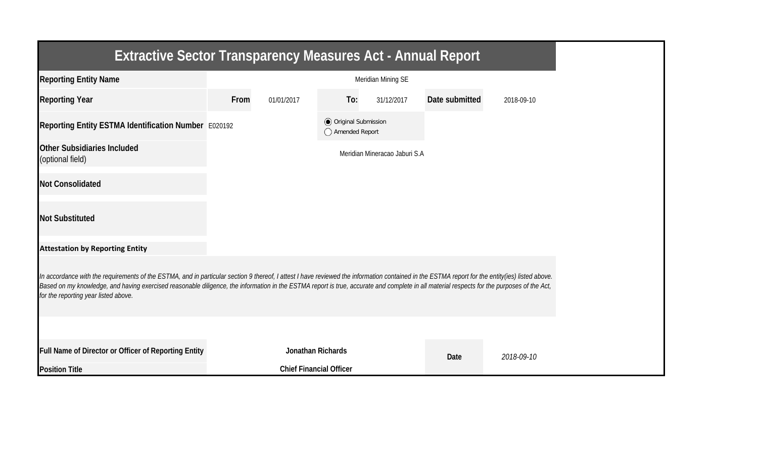| <b>Extractive Sector Transparency Measures Act - Annual Report</b>                                                                                                                                                                                                                                                                                                                                                                    |      |                                |                                                  |                               |                |            |
|---------------------------------------------------------------------------------------------------------------------------------------------------------------------------------------------------------------------------------------------------------------------------------------------------------------------------------------------------------------------------------------------------------------------------------------|------|--------------------------------|--------------------------------------------------|-------------------------------|----------------|------------|
| <b>Reporting Entity Name</b>                                                                                                                                                                                                                                                                                                                                                                                                          |      |                                |                                                  | Meridian Mining SE            |                |            |
| <b>Reporting Year</b>                                                                                                                                                                                                                                                                                                                                                                                                                 | From | 01/01/2017                     | To:                                              | 31/12/2017                    | Date submitted | 2018-09-10 |
| Reporting Entity ESTMA Identification Number E020192                                                                                                                                                                                                                                                                                                                                                                                  |      |                                | <b>◎</b> Original Submission<br>◯ Amended Report |                               |                |            |
| Other Subsidiaries Included<br>(optional field)                                                                                                                                                                                                                                                                                                                                                                                       |      |                                |                                                  | Meridian Mineracao Jaburi S.A |                |            |
| <b>Not Consolidated</b>                                                                                                                                                                                                                                                                                                                                                                                                               |      |                                |                                                  |                               |                |            |
| <b>Not Substituted</b>                                                                                                                                                                                                                                                                                                                                                                                                                |      |                                |                                                  |                               |                |            |
| <b>Attestation by Reporting Entity</b>                                                                                                                                                                                                                                                                                                                                                                                                |      |                                |                                                  |                               |                |            |
| In accordance with the requirements of the ESTMA, and in particular section 9 thereof, I attest I have reviewed the information contained in the ESTMA report for the entity(ies) listed above.<br>Based on my knowledge, and having exercised reasonable diligence, the information in the ESTMA report is true, accurate and complete in all material respects for the purposes of the Act,<br>for the reporting year listed above. |      |                                |                                                  |                               |                |            |
|                                                                                                                                                                                                                                                                                                                                                                                                                                       |      |                                |                                                  |                               |                |            |
| Full Name of Director or Officer of Reporting Entity                                                                                                                                                                                                                                                                                                                                                                                  |      | Jonathan Richards              |                                                  |                               | Date           | 2018-09-10 |
| <b>Position Title</b>                                                                                                                                                                                                                                                                                                                                                                                                                 |      | <b>Chief Financial Officer</b> |                                                  |                               |                |            |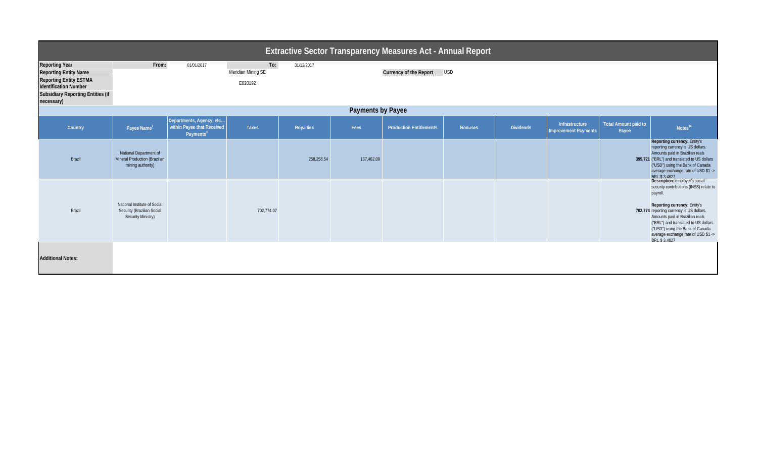| Extractive Sector Transparency Measures Act - Annual Report                                                                                                                      |                                                                                  |                                                                                 |                                      |            |            |                                |                |                  |                                        |                                      |                                                                                                                                                                                                                                                                                                                                          |  |
|----------------------------------------------------------------------------------------------------------------------------------------------------------------------------------|----------------------------------------------------------------------------------|---------------------------------------------------------------------------------|--------------------------------------|------------|------------|--------------------------------|----------------|------------------|----------------------------------------|--------------------------------------|------------------------------------------------------------------------------------------------------------------------------------------------------------------------------------------------------------------------------------------------------------------------------------------------------------------------------------------|--|
| <b>Reporting Year</b><br><b>Reporting Entity Name</b><br><b>Reporting Entity ESTMA</b><br><b>Identification Number</b><br><b>Subsidiary Reporting Entities (if</b><br>necessary) | From:                                                                            | 01/01/2017                                                                      | To:<br>Meridian Mining SE<br>E020192 | 31/12/2017 |            | Currency of the Report         | <b>USD</b>     |                  |                                        |                                      |                                                                                                                                                                                                                                                                                                                                          |  |
| Payments by Payee                                                                                                                                                                |                                                                                  |                                                                                 |                                      |            |            |                                |                |                  |                                        |                                      |                                                                                                                                                                                                                                                                                                                                          |  |
| Country                                                                                                                                                                          | Payee Name <sup>1</sup>                                                          | Departments, Agency, etc<br>within Payee that Received<br>Payments <sup>2</sup> | <b>Taxes</b>                         | Royalties  | Fees       | <b>Production Entitlements</b> | <b>Bonuses</b> | <b>Dividends</b> | Infrastructure<br>Improvement Payments | <b>Total Amount paid to</b><br>Payee | Notes <sup>34</sup>                                                                                                                                                                                                                                                                                                                      |  |
| Brazil                                                                                                                                                                           | National Department of<br>Mineral Production (Brazilian<br>mining authority)     |                                                                                 |                                      | 258,258.54 | 137,462.09 |                                |                |                  |                                        |                                      | Reporting currency: Entity's<br>reporting currency is US dollars.<br>Amounts paid in Brazilian reals<br>395,721 ("BRL") and translated to US dollars<br>("USD") using the Bank of Canada<br>average exchange rate of USD \$1 -><br>BRL \$3.4827                                                                                          |  |
| Brazil                                                                                                                                                                           | National Institute of Social<br>Security (Brazilian Social<br>Security Ministry) |                                                                                 | 702,774.07                           |            |            |                                |                |                  |                                        |                                      | Description: employer's social<br>security contributions (INSS) relate to<br>payroll.<br>Reporting currency: Entity's<br>702,774 reporting currency is US dollars.<br>Amounts paid in Brazilian reals<br>("BRL") and translated to US dollars<br>("USD") using the Bank of Canada<br>average exchange rate of USD \$1 -><br>BRI \$3.4827 |  |
| <b>Additional Notes:</b>                                                                                                                                                         |                                                                                  |                                                                                 |                                      |            |            |                                |                |                  |                                        |                                      |                                                                                                                                                                                                                                                                                                                                          |  |